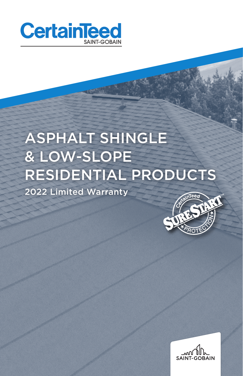

# ASPHALT SHINGLE & LOW-SLOPE RESIDENTIAL PRODUCTS 2022 Limited Warranty



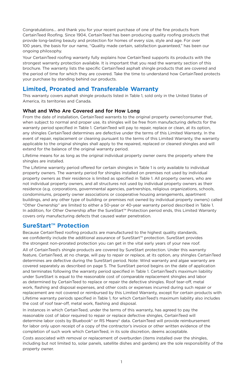Congratulations... and thank you for your recent purchase of one of the fine products from CertainTeed Roofing. Since 1904, CertainTeed has been producing quality roofing products that provide long-lasting beauty and protection for homes of every size, style and age. For over 100 years, the basis for our name, "Quality made certain, satisfaction guaranteed," has been our ongoing philosophy.

Your CertainTeed roofing warranty fully explains how CertainTeed supports its products with the strongest warranty protection available. It is important that you read the warranty section of this brochure. The warranty lists the specific CertainTeed asphalt shingle products that are covered and the period of time for which they are covered. Take the time to understand how CertainTeed protects your purchase by standing behind our products.

## **Limited, Prorated and Transferable Warranty**

This warranty covers asphalt shingle products listed in Table 1, sold only in the United States of America, its territories and Canada.

## **What and Who Are Covered and for How Long**

From the date of installation, CertainTeed warrants to the original property owner/consumer that, when subject to normal and proper use, its shingles will be free from manufacturing defects for the warranty period specified in Table 1. CertainTeed will pay to repair, replace or clean, at its option, any shingles CertainTeed determines are defective under the terms of this Limited Warranty. In the event of repair, replacement or cleaning pursuant to the terms of this Limited Warranty, the warranty applicable to the original shingles shall apply to the repaired, replaced or cleaned shingles and will extend for the balance of the original warranty period.

Lifetime means for as long as the original individual property owner owns the property where the shingles are installed.

The Lifetime warranty period offered for certain shingles in Table 1 is only available to individual property owners. The warranty period for shingles installed on premises not used by individual property owners as their residence is limited as specified in Table 1. All property owners, who are not individual property owners, and all structures not used by individual property owners as their residence (e.g. corporations, governmental agencies, partnerships, religious organizations, schools, condominiums, property owner associations or cooperative housing arrangements, apartment buildings, and any other type of building or premises not owned by individual property owners) called "Other Ownership" are limited to either a 50-year or 40-year warranty period described in Table 1. In addition, for Other Ownership after the SureStart™ Protection period ends, this Limited Warranty covers only manufacturing defects that caused water penetration.

## **SureStart™ Protection**

Because CertainTeed roofing products are manufactured to the highest quality standards, we confidently include the additional assurance of SureStart™ protection. SureStart provides the strongest non-prorated protection you can get in the vital early years of your new roof.

All of CertainTeed's shingle products are covered by SureStart protection. Under this warranty feature, CertainTeed, at no charge, will pay to repair or replace, at its option, any shingles CertainTeed determines are defective during the SureStart period. Note: Wind warranty and algae warranty are covered separately as described on page 5. The SureStart period begins on the date of application and terminates following the warranty period specified in Table 1. CertainTeed's maximum liability under SureStart is equal to the reasonable cost of comparable replacement shingles and labor as determined by CertainTeed to replace or repair the defective shingles. Roof tear-off, metal work, flashing and disposal expenses, and other costs or expenses incurred during such repair or replacement are not covered or reimbursed by this Limited Warranty, except for certain products with Lifetime warranty periods specified in Table 1, for which CertainTeed's maximum liability also includes the cost of roof tear-off, metal work, flashing and disposal.

In instances in which CertainTeed, under the terms of this warranty, has agreed to pay the reasonable cost of labor required to repair or replace defective shingles, CertainTeed will determine labor costs by Bluebook® or RS Means® data. CertainTeed will provide reimbursement for labor only upon receipt of a copy of the contractor's invoice or other written evidence of the completion of such work which CertainTeed, in its sole discretion, deems acceptable.

Costs associated with removal or replacement of overburden (items installed over the shingles, including but not limited to, solar panels, satellite dishes and gardens) are the sole responsibility of the property owner.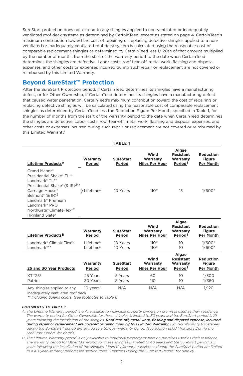SureStart protection does not extend to any shingles applied to non-ventilated or inadequately ventilated roof deck systems as determined by CertainTeed, except as stated on page 4. CertainTeed's maximum contribution toward the cost of repairing or replacing defective shingles applied to a nonventilated or inadequately ventilated roof deck system is calculated using the reasonable cost of comparable replacement shingles as determined by CertainTeed less 1/120th of that amount multiplied by the number of months from the start of the warranty period to the date when CertainTeed determines the shingles are defective. Labor costs, roof tear-off, metal work, flashing and disposal expenses, and other costs or expenses incurred during such repair or replacement are not covered or reimbursed by this Limited Warranty.

## **Beyond SureStart™ Protection**

After the SureStart Protection period, if CertainTeed determines its shingles have a manufacturing defect, or for Other Ownership, if CertainTeed determines its shingles have a manufacturing defect that caused water penetration, CertainTeed's maximum contribution toward the cost of repairing or replacing defective shingles will be calculated using the reasonable cost of comparable replacement shingles as determined by CertainTeed less the Reduction Figure Per Month, specified in Table 1, for the number of months from the start of the warranty period to the date when CertainTeed determines the shingles are defective. Labor costs, roof tear-off, metal work, flashing and disposal expenses, and other costs or expenses incurred during such repair or replacement are not covered or reimbursed by this Limited Warranty.

|                                                                                                                                                                                                                                                                                                 |                                                | <b>TABLE 1</b>                        |                                                 |                                                                    |                                                         |
|-------------------------------------------------------------------------------------------------------------------------------------------------------------------------------------------------------------------------------------------------------------------------------------------------|------------------------------------------------|---------------------------------------|-------------------------------------------------|--------------------------------------------------------------------|---------------------------------------------------------|
| Lifetime Products <sup>A</sup>                                                                                                                                                                                                                                                                  | Warranty<br>Period                             | <b>SureStart</b><br>Period            | Wind<br>Warranty<br><b>Miles Per Hour</b>       | Algae<br><b>Resistant</b><br>Warranty<br>Period <sup>1</sup>       | <b>Reduction</b><br><b>Figure</b><br><b>Per Month</b>   |
| Grand Manor <sup>®</sup><br>Presidential Shake® TL**<br>Landmark® TL**<br>Presidential Shake® (& IR) <sup>2**</sup><br>Carriage House®<br>Belmont <sup>®</sup> (& IR) <sup>2</sup><br>Landmark <sup>®</sup> Premium<br>Landmark <sup>®</sup> PRO<br>NorthGate® ClimateFlex®2<br>Highland Slate® | Lifetime <sup>A</sup>                          | 10 Years                              | $110+$                                          | 15                                                                 | $1/600*$                                                |
| Lifetime Products <sup>B</sup>                                                                                                                                                                                                                                                                  | Warranty                                       | <b>SureStart</b>                      | Wind<br>Warranty                                | Algae<br><b>Resistant</b><br>Warranty                              | <b>Reduction</b><br><b>Figure</b>                       |
|                                                                                                                                                                                                                                                                                                 | Period                                         | Period                                | <b>Miles Per Hour</b>                           | Period <sup>1</sup>                                                | <b>Per Month</b>                                        |
| Landmark® ClimateFlex®2<br>Landmark <sup>®**</sup>                                                                                                                                                                                                                                              | Lifetime <sup>B</sup><br>Lifetime <sup>B</sup> | 10 Years<br>10 Years                  | $110^{+1}$<br>$110+$                            | 10<br>10                                                           | $1/600*$<br>$1/600*$                                    |
| 25 and 30 Year Products<br>$XT^{m}25^{3}$                                                                                                                                                                                                                                                       | Warranty<br>Period<br>25 Years                 | <b>SureStart</b><br>Period<br>5 Years | Wind<br>Warranty<br><b>Miles Per Hour</b><br>60 | Algae<br><b>Resistant</b><br>Warranty<br>Period <sup>1</sup><br>10 | Reduction<br><b>Figure</b><br><b>Per Month</b><br>1/300 |
| Patriot                                                                                                                                                                                                                                                                                         | 30 Years                                       | 8 Years                               | 110                                             | 10                                                                 | 1/360                                                   |

inadequately ventilated roof deck *\*\* Including Solaris colors. (see footnotes to Table 1)*

#### *FOOTNOTES TO TABLE 1.*

*A. The Lifetime Warranty period is only available to individual property owners on premises used as their residence. The warranty period for Other Ownership for these shingles is limited to 50 years and the SureStart period is 10 years following the installation of the shingles. Roof tear-off, metal work, flashing and disposal expense, incurred during repair or replacement are covered or reimbursed by this Limited Warranty. Limited Warranty transferees during the SureStart™ period are limited to a 50-year warranty period (see section titled "Transfers During the SureStart Period" for details).*

*B. The Lifetime Warranty period is only available to individual property owners on premises used as their residence. The warranty period for Other Ownership for these shingles is limited to 40 years and the SureStart period is 5 years following the installation of the shingles. Limited Warranty transferees during the SureStart period are limited to a 40-year warranty period (see section titled "Transfers During the SureStart Period" for details).*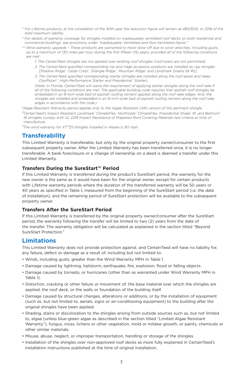- *\* For Lifetime products, at the completion of the 40th year the reduction figure will remain at 480/600, or 20% of the total maximum liability.*
- *† For details of warranty coverage for shingles installed on inadequately ventilated roof decks on both residential and commercial buildings, see provisions under "Inadequately Ventilated and Non-Ventilated Decks."*
- *†† Wind warranty upgrade These products are warranted to resist blow-off due to wind velocities, including gusts, up to a maximum of 130 miles per hour during the first fifteen (15) years, provided all of the following conditions are met:*
	- *1. The CertainTeed shingles are not applied over existing roof shingles (roof-overs are not permitted).*
	- *2. The CertainTeed specified corresponding hip and ridge accessory products are installed as cap shingles [Shadow Ridge® , Cedar Crest® , Shangle Ridge® , Mountain Ridge® and Landmark Solaris® (& IR)].*
	- *3. The CertainTeed specified corresponding starter shingles are installed along the roof eaves and rakes (Swiftstart ® , High-Performance Starter and Presidential ® Starter).*

 *(Note: In Florida, CertainTeed will waive the requirement of applying starter shingles along the roof rake if all of the following conditions are met: The applicable building code requires that asphalt roof shingles be embedded in an 8-inch-wide bed of asphalt roofing cement applied along the roof rake edges. And, the shingles are installed and embedded in an 8-inch-wide bed of asphalt roofing cement along the roof rake edges in accordance with the code.)*

*1 Algae Resistant Warranty period applies only to the Algae Resistant (AR) version of the pertinent shingle. 2CertainTeed's Impact Resistant Landmark® ClimateFlex, NorthGate® ClimateFlex, Presidential Shake® IR, and Belmont® IR shingles comply with UL 2218 Impact Resistance of Prepared Roof Covering Materials test criteria at time of manufacture.*

*3The wind warranty for XT™25 shingles installed in Alaska is 90 mph.*

# **Transferability**

This Limited Warranty is transferable, but only by the original property owner/consumer to the first subsequent property owner. After the Limited Warranty has been transferred once, it is no longer transferable. A bank foreclosure or a change of ownership on a deed is deemed a transfer under this Limited Warranty.

#### **Transfers During the SureStart™ Period**

If this Limited Warranty is transferred during the product's SureStart period, the warranty for the new owner is the same as it would have been for the original owner, except for certain products with Lifetime warranty periods where the duration of the transferred warranty will be 50 years or 40 years as specified in Table 1, measured from the beginning of the SureStart period (i.e. the date of installation), and the remaining period of SureStart protection will be available to the subsequent property owner.

## **Transfers After the SureStart Period**

If this Limited Warranty is transferred by the original property owner/consumer after the SureStart period, the warranty following the transfer will be limited to two (2) years from the date of the transfer. The warranty obligation will be calculated as explained in the section titled "Beyond SureStart Protection."

## **Limitations**

This Limited Warranty does not provide protection against, and CertainTeed will have no liability for, any failure, defect or damage as a result of, including but not limited to:

- Winds, including gusts, greater than the Wind Warranty MPH in Table 1
- Damage caused by lightning, hailstorm, earthquake, fire, explosion, flood or falling objects.
- Damage caused by tornado, or hurricanes (other than as warranted under Wind Warranty MPH in Table 1).
- Distortion, cracking or other failure or movement of: the base material over which the shingles are applied, the roof deck, or the walls or foundation of the building itself.
- Damage caused by structural changes, alterations or additions, or by the installation of equipment (such as, but not limited to, aerials, signs or air-conditioning equipment) to the building after the original shingles have been applied.
- Shading, stains or discoloration to the shingles arising from outside sources such as, but not limited to, algae (unless blue-green algae as described in the section titled "Limited Algae Resistant Warranty"), fungus, moss, lichens or other vegetation, mold or mildew growth, or paints, chemicals or other similar materials.
- Misuse, abuse, neglect, or improper transportation, handling or storage of the shingles.
- Installation of the shingles over non-approved roof decks as more fully explained in CertainTeed's installation instructions published at the time of original installation.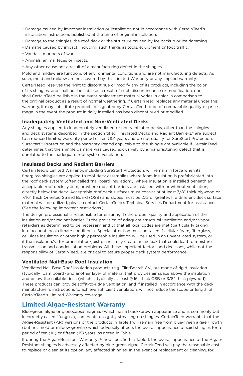- Damage caused by improper installation or installation not in accordance with CertainTeed's installation instructions published at the time of original installation.
- Damage to the shingles, the roof deck or the structure caused by ice backup or ice damming.
- Damage caused by impact, including such things as tools, equipment or foot traffic.
- Vandalism or acts of war.
- Animals, animal feces or insects.
- Any other cause not a result of a manufacturing defect in the shingles.

Mold and mildew are functions of environmental conditions and are not manufacturing defects. As such, mold and mildew are not covered by this Limited Warranty or any implied warranty.

CertainTeed reserves the right to discontinue or modify any of its products, including the color of its shingles, and shall not be liable as a result of such discontinuance or modification, nor shall CertainTeed be liable in the event replacement material varies in color in comparison to the original product as a result of normal weathering. If CertainTeed replaces any material under this warranty, it may substitute products designated by CertainTeed to be of comparable quality or price range in the event the product initially installed has been discontinued or modified.

#### **Inadequately Ventilated and Non-Ventilated Decks**

Any shingles applied to inadequately ventilated or non-ventilated decks, other than the shingles and deck systems described in the section titled "Insulated Decks and Radiant Barriers," are subject to a reduced limited warranty period of ten (10) years and do not qualify for SureStart Protection. SureStart™ Protection and the Warranty Period applicable to the shingle are available if CertainTeed determines that the shingle damage was caused exclusively by a manufacturing defect that is unrelated to the inadequate roof system ventilation.

#### **Insulated Decks and Radiant Barriers**

CertainTeed's Limited Warranty, including SureStart Protection, will remain in force when its fiberglass shingles are applied to roof deck assemblies where foam insulation is prefabricated into the roof deck system (often called "nailboard insulation"), where insulation is installed beneath an acceptable roof deck system, or where radiant barriers are installed, with or without ventilation, directly below the deck. Acceptable roof deck surfaces must consist of at least 3/8" thick plywood or 7/16" thick Oriented Strand Board (OSB) and slopes must be 2:12 or greater. If a different deck surface material will be utilized, please contact CertainTeed's Technical Services Department for assistance. (See the following important restrictions.)

The design professional is responsible for ensuring: 1) the proper quality and application of the insulation and/or radiant barrier, 2) the provision of adequate structural ventilation and/or vapor retarders as determined to be necessary, and 3) that all local codes are met (particularly taking into account local climate conditions). Special attention must be taken if cellular foam, fiberglass, cellulose insulation or other highly permeable insulation will be used in an unventilated system, or if the insulation/rafter or insulation/joist planes may create an air leak that could lead to moisture transmission and condensation problems. All these important factors and decisions, while not the responsibility of CertainTeed, are critical to assure proper deck system performance.

#### **Ventilated Nail-Base Roof Insulation**

Ventilated Nail-Base Roof Insulation products (e.g. FlintBoard® CV) are made of rigid insulation (typically foam board) and another layer of material that provides air space above the insulation and below the nailable deck (which is typically at least 7/16" thick OSB or 3/8" thick plywood). These products can provide soffit-to-ridge ventilation, and if installed in accordance with the deck manufacturer's instructions to achieve sufficient ventilation, will not reduce the scope or length of CertainTeed's Limited Warranty coverage.

## **Limited Algae-Resistant Warranty**

Blue-green algae or gloeocapsa magma, (which has a black/brown appearance and is commonly but incorrectly called "fungus"), can create unsightly streaking on shingles. CertainTeed warrants that the Algae-Resistant (AR) versions of the products in Table 1 will remain free from blue-green algae growth (but not mold or mildew growth) which adversely affects the overall appearance of said shingles for a period of ten (10) or fifteen (15) years, as noted in Table 1.

If during the Algae-Resistant Warranty Period specified in Table 1, the overall appearance of the Algae-Resistant shingles is adversely affected by blue-green algae, CertainTeed will pay the reasonable cost to replace or clean at its option, any affected shingles. In the event of replacement or cleaning, for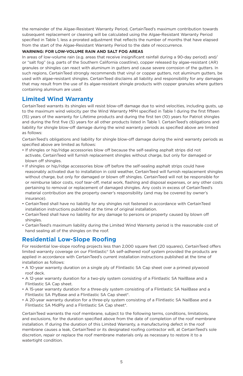the remainder of the Algae-Resistant Warranty Period, CertainTeed's maximum contribution towards subsequent replacement or cleaning will be calculated using the Algae-Resistant Warranty Period specified in Table 1, less a prorated adjustment that reflects the number of months that have elapsed from the start of the Algae-Resistant Warranty Period to the date of reoccurrence.

#### **WARNING: FOR LOW-VOLUME RAIN AND SALT FOG AREAS**

In areas of low-volume rain (e.g. areas that receive insignificant rainfall during a 90-day period) and/ or "salt fog" (e.g. parts of the Southern California coastline), copper released by algae-resistant (AR) granules or shingles can react with aluminum in gutters and cause severe corrosion of the gutters. In such regions, CertainTeed strongly recommends that vinyl or copper gutters, not aluminum gutters, be used with algae-resistant shingles. CertainTeed disclaims all liability and responsibility for any damages that may result from the use of its algae-resistant shingle products with copper granules where gutters containing aluminum are used.

# **Limited Wind Warranty**

CertainTeed warrants its shingles will resist blow-off damage due to wind velocities, including gusts, up to the maximum wind velocity per the Wind Warranty MPH specified in Table 1 during the first fifteen (15) years of the warranty for Lifetime products and during the first ten (10) years for Patriot shingles and during the first five (5) years for all other products listed in Table 1. CertainTeed's obligations and liability for shingle blow-off damage during the wind warranty periods as specified above are limited as follows:

CertainTeed's obligations and liability for shingle blow-off damage during the wind warranty periods as specified above are limited as follows:

- If shingles or hip/ridge accessories blow off because the self-sealing asphalt strips did not activate, CertainTeed will furnish replacement shingles without charge, but only for damaged or blown off shingles.
- If shingles or hip/ridge accessories blow off before the self-sealing asphalt strips could have reasonably activated due to installation in cold weather, CertainTeed will furnish replacement shingles without charge, but only for damaged or blown off shingles. CertainTeed will not be responsible for or reimburse labor costs, roof tear-off, metal work, flashing and disposal expenses, or any other costs pertaining to removal or replacement of damaged shingles. Any costs in excess of CertainTeed's material contribution are the property owner's responsibility (and may be covered by owner's insurance).
- CertainTeed shall have no liability for any shingles not fastened in accordance with CertainTeed installation instructions published at the time of original installation.
- CertainTeed shall have no liability for any damage to persons or property caused by blown off shingles.
- CertainTeed's maximum liability during the Limited Wind Warranty period is the reasonable cost of hand sealing all of the shingles on the roof.

# **Residential Low-Slope Roofing**

For residential low-slope roofing projects less than 2,000 square feet (20 squares), CertainTeed offers limited warranty coverage on our Flintlastic® SA self-adhered roof system provided the products are applied in accordance with CertainTeed's current installation instructions published at the time of installation as follows:

- A 10-year warranty duration on a single ply of Flintlastic SA Cap sheet over a primed plywood roof deck.
- A 12-year warranty duration for a two-ply system consisting of a Flintlastic SA NailBase and a Flintlastic SA Cap sheet.
- A 15-year warranty duration for a three-ply system consisting of a Flintlastic SA NailBase and a Flintlastic SA PlyBase and a Flintlastic SA Cap sheet\*.
- A 20-year warranty duration for a three-ply system consisting of a Flintlastic SA NailBase and a Flintlastic SA MidPly and a Flintlastic SA Cap sheet\*.

CertainTeed warrants the roof membrane, subject to the following terms, conditions, limitations, and exclusions, for the duration specified above from the date of completion of the roof membrane installation. If during the duration of this Limited Warranty, a manufacturing defect in the roof membrane causes a leak, CertainTeed or its designated roofing contractor will, at CertainTeed's sole discretion, repair or replace the roof membrane materials only as necessary to restore it to a watertight condition.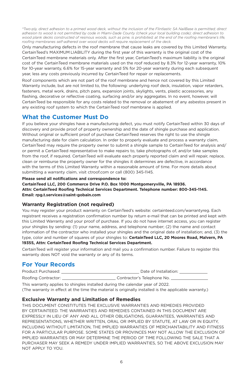*\*Two-ply, direct adhesion to a primed wood deck, without the inclusion of the Flintlastic SA NailBase is permitted; direct adhesion to wood is not permitted by code in Miami-Dade County (check your local building code); direct adhesion to wood plank decks constructed of resinous woods, such as pine, is prohibited; at the end of the roofing membrane's life, roofing membranes self-adhered over wood decks will require replacement of the deck.*

Only manufacturing defects in the roof membrane that cause leaks are covered by this Limited Warranty. CertainTeed's MAXIMUM LIABILITY during the first year of this warranty is the original cost of the CertainTeed membrane materials only. After the first year, CertainTeed's maximum liability is the original cost of the CertainTeed membrane materials used on the roof reduced by 8.3% for 12-year warranty, 10% for 10-year warranty, 6.6% for 15-year warranty and 5% for 20-year warranty during each subsequent year, less any costs previously incurred by CertainTeed for repair or replacements.

Roof components which are not part of the roof membrane and hence not covered by this Limited Warranty include, but are not limited to, the following: underlying roof deck, insulation, vapor retarders, fasteners, metal work, drains, pitch pans, expansion joints, skylights, vents, plastic accessories, any flashing, decorative or reflective coating, surfacing and/or any aggregates. In no event, however, will CertainTeed be responsible for any costs related to the removal or abatement of any asbestos present in any existing roof system to which the CertainTeed roof membrane is applied.

# **What the Customer Must Do**

If you believe your shingles have a manufacturing defect, you must notify CertainTeed within 30 days of discovery and provide proof of property ownership and the date of shingle purchase and application. Without original or sufficient proof of purchase CertainTeed reserves the right to use the shingle manufacturing date for claim calculation. In order to properly evaluate and process a warranty claim, CertainTeed may require the property owner to submit a shingle sample to CertainTeed for analysis and/ or permit a CertainTeed representative to make repairs to, take photographs of, and/or take samples from the roof, if required. CertainTeed will evaluate each properly reported claim and will repair, replace, clean or reimburse the property owner for the shingles it determines are defective, in accordance with the terms of this Limited Warranty within a reasonable amount of time. For more details about submitting a warranty claim, visit ctroof.com or call (800) 345-1145.

#### **Please send all notifications and correspondence to:**

**CertainTeed LLC, 200 Commerce Drive P.O. Box 1000 Montgomeryville, PA 18936. Attn: CertainTeed Roofing Technical Services Department. Telephone number: 800-345-1145. Email: rpg.t.services@saint-gobain.com**

## **Warranty Registration (not required)**

You may register your product warranty on CertainTeed's website: certainteed.com/warrantyreg. Each registrant receives a registration confirmation number by return e-mail that can be printed and kept with this Limited Warranty and your proof of purchase. If you do not have internet access, you can register your shingles by sending: (1) your name, address, and telephone number; (2) the name and contact information of the contractor who installed your shingles and the original date of installation; and, (3) the type, color and number of squares of your shingles to: **CertainTeed LLC, 20 Moores Road, Malvern, PA 19355, Attn: CertainTeed Roofing Technical Services Department.** 

CertainTeed will register your information and mail you a confirmation number. Failure to register this warranty does NOT void the warranty or any of its terms.

## **For Your Records**

| Product Purchased:  | Date of Installation:      |
|---------------------|----------------------------|
| Roofing Contractor: | Contractor's Telephone No. |

This warranty applies to shingles installed during the calendar year of 2022.

(The warranty in effect at the time the material is originally installed is the applicable warranty.)

#### **Exclusive Warranty and Limitation of Remedies**

THIS DOCUMENT CONSTITUTES THE EXCLUSIVE WARRANTIES AND REMEDIES PROVIDED BY CERTAINTEED. THE WARRANTIES AND REMEDIES CONTAINED IN THIS DOCUMENT ARE EXPRESSLY IN LIEU OF ANY AND ALL OTHER OBLIGATIONS, GUARANTEES, WARRANTIES AND REPRESENTATIONS, WHETHER WRITTEN, ORAL OR IMPLIED BY STATUTE, AT LAW OR IN EQUITY, INCLUDING WITHOUT LIMITATION, THE IMPLIED WARRANTIES OF MERCHANTABILITY AND FITNESS FOR A PARTICULAR PURPOSE. SOME STATES OR PROVINCES MAY NOT ALLOW THE EXCLUSION OF IMPLIED WARRANTIES OR MAY DETERMINE THE PERIOD OF TIME FOLLOWING THE SALE THAT A PURCHASER MAY SEEK A REMEDY UNDER IMPLIED WARRANTIES, SO THE ABOVE EXCLUSION MAY NOT APPLY TO YOU.